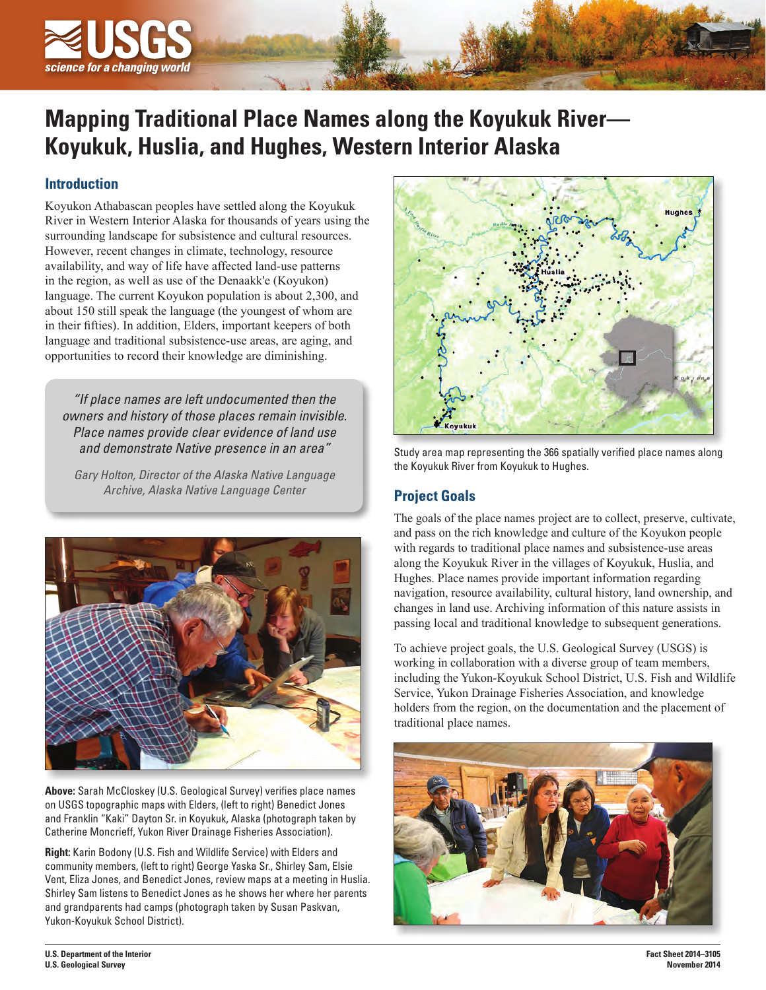

# **Mapping Traditional Place Names along the Koyukuk River— Koyukuk, Huslia, and Hughes, Western Interior Alaska**

## **Introduction**

Koyukon Athabascan peoples have settled along the Koyukuk River in Western Interior Alaska for thousands of years using the surrounding landscape for subsistence and cultural resources. However, recent changes in climate, technology, resource availability, and way of life have affected land-use patterns in the region, as well as use of the Denaakk'e (Koyukon) language. The current Koyukon population is about 2,300, and about 150 still speak the language (the youngest of whom are in their fifties). In addition, Elders, important keepers of both language and traditional subsistence-use areas, are aging, and opportunities to record their knowledge are diminishing.

*"If place names are left undocumented then the owners and history of those places remain invisible. Place names provide clear evidence of land use and demonstrate Native presence in an area"* 

*Gary Holton, Director of the Alaska Native Language Archive, Alaska Native Language Center*



**Above:** Sarah McCloskey (U.S. Geological Survey) verifies place names on USGS topographic maps with Elders, (left to right) Benedict Jones and Franklin "Kaki" Dayton Sr. in Koyukuk, Alaska (photograph taken by Catherine Moncrieff, Yukon River Drainage Fisheries Association).

**Right:** Karin Bodony (U.S. Fish and Wildlife Service) with Elders and community members, (left to right) George Yaska Sr., Shirley Sam, Elsie Vent, Eliza Jones, and Benedict Jones, review maps at a meeting in Huslia. Shirley Sam listens to Benedict Jones as he shows her where her parents and grandparents had camps (photograph taken by Susan Paskvan, Yukon-Koyukuk School District).



Study area map representing the 366 spatially verified place names along the Koyukuk River from Koyukuk to Hughes.

## **Project Goals**

The goals of the place names project are to collect, preserve, cultivate, and pass on the rich knowledge and culture of the Koyukon people with regards to traditional place names and subsistence-use areas along the Koyukuk River in the villages of Koyukuk, Huslia, and Hughes. Place names provide important information regarding navigation, resource availability, cultural history, land ownership, and changes in land use. Archiving information of this nature assists in passing local and traditional knowledge to subsequent generations.

To achieve project goals, the U.S. Geological Survey (USGS) is working in collaboration with a diverse group of team members, including the Yukon-Koyukuk School District, U.S. Fish and Wildlife Service, Yukon Drainage Fisheries Association, and knowledge holders from the region, on the documentation and the placement of traditional place names.